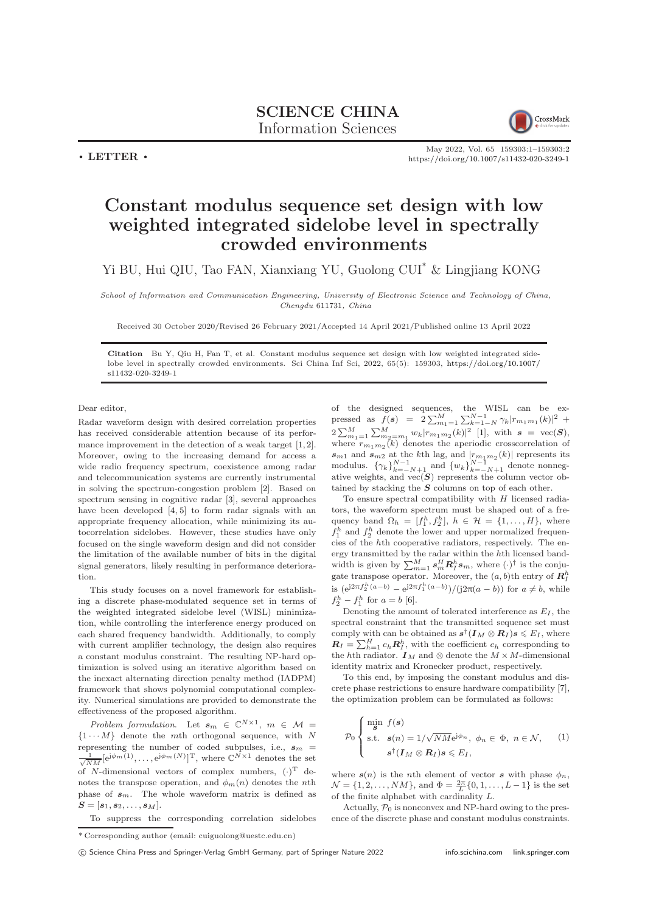SCIENCE CHINA Information Sciences



May 2022, Vol. 65 159303:1–159303[:2](#page-1-0) <https://doi.org/10.1007/s11432-020-3249-1>

## Constant modulus sequence set design with low weighted integrated sidelobe level in spectrally crowded environments

Yi BU, Hui QIU, Tao FAN, Xianxiang YU, Guolong CUI\* & Lingjiang KONG

School of Information and Communication Engineering, University of Electronic Science and Technology of China, Chengdu 611731, China

Received 30 October 2020/Revised 26 February 2021/Accepted 14 April 2021/Published online 13 April 2022

Citation Bu Y, Qiu H, Fan T, et al. Constant modulus sequence set design with low weighted integrated sidelobe level in spectrally crowded environments. Sci China Inf Sci, 2022, 65(5): 159303, [https://doi.org/10.1007/](https://doi.org/10.1007/s11432-020-3249-1) [s11432-020-3249-1](https://doi.org/10.1007/s11432-020-3249-1)

Dear editor,

 $\cdot$  LETTER  $\cdot$ 

Radar waveform design with desired correlation properties has received considerable attention because of its performance improvement in the detection of a weak target [\[1,](#page-1-1) [2\]](#page-1-2). Moreover, owing to the increasing demand for access a wide radio frequency spectrum, coexistence among radar and telecommunication systems are currently instrumental in solving the spectrum-congestion problem [\[2\]](#page-1-2). Based on spectrum sensing in cognitive radar [\[3\]](#page-1-3), several approaches have been developed [\[4,](#page-1-4) [5\]](#page-1-5) to form radar signals with an appropriate frequency allocation, while minimizing its autocorrelation sidelobes. However, these studies have only focused on the single waveform design and did not consider the limitation of the available number of bits in the digital signal generators, likely resulting in performance deterioration.

This study focuses on a novel framework for establishing a discrete phase-modulated sequence set in terms of the weighted integrated sidelobe level (WISL) minimization, while controlling the interference energy produced on each shared frequency bandwidth. Additionally, to comply with current amplifier technology, the design also requires a constant modulus constraint. The resulting NP-hard optimization is solved using an iterative algorithm based on the inexact alternating direction penalty method (IADPM) framework that shows polynomial computational complexity. Numerical simulations are provided to demonstrate the effectiveness of the proposed algorithm.

Problem formulation. Let  $s_m \in \mathbb{C}^{N \times 1}$ ,  $m \in \mathcal{M}$  =  ${1 \cdots M}$  denote the mth orthogonal sequence, with N representing the number of coded subpulses, i.e.,  $s_m$  =  $\frac{1}{\sqrt{NM}}[\mathrm{e}^{\mathrm{j}\phi_m(1)},\ldots,\mathrm{e}^{\mathrm{j}\phi_m(N)}]^{\mathrm{T}}$ , where  $\mathbb{C}^{N\times 1}$  denotes the set of N-dimensional vectors of complex numbers,  $(\cdot)^T$  denotes the transpose operation, and  $\phi_m(n)$  denotes the *n*th phase of  $s_m$ . The whole waveform matrix is defined as  $S = [s_1, s_2, \ldots, s_M].$ 

of the designed sequences, the WISL can be expressed as  $f(s) = 2\sum_{m_1=1}^{M} \sum_{k=1-N}^{N-1} \gamma_k |r_{m_1m_1}(k)|^2 +$  $2\sum_{m_1=1}^{M} \sum_{m_2=m_1}^{M} w_k |r_{m_1m_2}(k)|^2$  [\[1\]](#page-1-1), with  $s = \text{vec}(\mathbf{S})$ , where  $r_{m_1m_2}(k)$  denotes the aperiodic crosscorrelation of  $s_{m1}$  and  $s_{m2}$  at the k<sup>th</sup> lag, and  $|r_{m_1m_2}(k)|$  represents its modulus.  $\{\gamma_k\}_{k=-N+1}^{N-1}$  and  $\{w_k\}_{k=-N+1}^{N-1}$  denote nonnegative weights, and vec(S) represents the column vector obtained by stacking the S columns on top of each other.

To ensure spectral compatibility with  $H$  licensed radiators, the waveform spectrum must be shaped out of a frequency band  $\Omega_h = [f_1^h, f_2^h], h \in \mathcal{H} = \{1, ..., H\}$ , where  $f_1^h$  and  $f_2^h$  denote the lower and upper normalized frequencies of the hth cooperative radiators, respectively. The energy transmitted by the radar within the hth licensed bandwidth is given by  $\sum_{m=1}^{M} s_m^H R_I^h s_m$ , where  $(\cdot)^\dagger$  is the conjugate transpose operator. Moreover, the  $(a, b)$ <sup>th</sup> entry of  $\mathbb{R}^h_I$ is  $(e^{j2\pi f_2^h(a-b)} - e^{j2\pi f_1^h(a-b)})/(j2\pi(a-b))$  for  $a \neq b$ , while  $f_2^h - f_1^h$  for  $a = b$  [\[6\]](#page-1-6).

Denoting the amount of tolerated interference as  $E_I$ , the spectral constraint that the transmitted sequence set must comply with can be obtained as  $s^{\dagger}(\mathbf{I}_M \otimes \mathbf{R}_I) s \leqslant E_I$ , where  $R_I = \sum_{h=1}^{H} c_h R_I^h$ , with the coefficient  $c_h$  corresponding to the  $h\text{th}$  radiator.  $\textbf{\emph{I}}_{M}$  and  $\otimes$  denote the  $M\times M\text{-dimensional}$ identity matrix and Kronecker product, respectively.

To this end, by imposing the constant modulus and discrete phase restrictions to ensure hardware compatibility [\[7\]](#page-1-7), the optimization problem can be formulated as follows:

$$
\mathcal{P}_0 \begin{cases} \n\min_{\mathbf{S}} f(\mathbf{s}) \\
\text{s.t.} \quad \mathbf{s}(n) = 1/\sqrt{NM} \mathrm{e}^{\mathrm{j}\phi_n}, \ \phi_n \in \Phi, \ n \in \mathcal{N}, \\
\mathbf{s}^\dagger (\mathbf{I}_M \otimes \mathbf{R}_I) \mathbf{s} \leqslant E_I,\n\end{cases} \tag{1}
$$

where  $s(n)$  is the nth element of vector s with phase  $\phi_n$ ,  $\mathcal{N} = \{1, 2, ..., NM\}$ , and  $\Phi = \frac{2\pi}{L} \{0, 1, ..., L-1\}$  is the set of the finite alphabet with cardinality L.

Actually,  $P_0$  is nonconvex and NP-hard owing to the presence of the discrete phase and constant modulus constraints.

To suppress the corresponding correlation sidelobes

 $^\ast$  Corresponding author (email: cuiguolong@uestc.edu.cn)

c Science China Press and Springer-Verlag GmbH Germany, part of Springer Nature 2022 <info.scichina.com><link.springer.com>